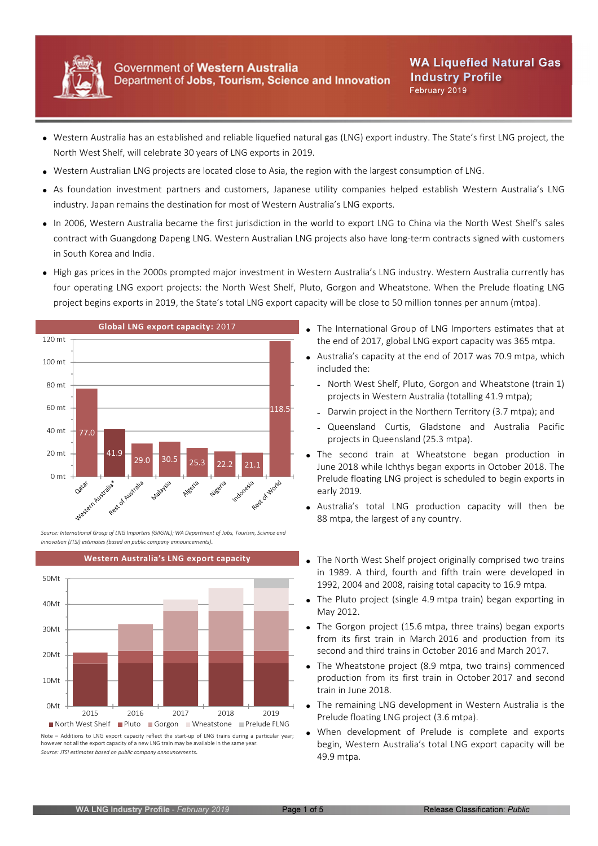

- Western Australia has an established and reliable liquefied natural gas (LNG) export industry. The State's first LNG project, the North West Shelf, will celebrate 30 years of LNG exports in 2019.
- Western Australian LNG projects are located close to Asia, the region with the largest consumption of LNG.
- As foundation investment partners and customers, Japanese utility companies helped establish Western Australia's LNG industry. Japan remains the destination for most of Western Australia's LNG exports.
- In 2006, Western Australia became the first jurisdiction in the world to export LNG to China via the North West Shelf's sales contract with Guangdong Dapeng LNG. Western Australian LNG projects also have long-term contracts signed with customers in South Korea and India.
- High gas prices in the 2000s prompted major investment in Western Australia's LNG industry. Western Australia currently has four operating LNG export projects: the North West Shelf, Pluto, Gorgon and Wheatstone. When the Prelude floating LNG project begins exports in 2019, the State's total LNG export capacity will be close to 50 million tonnes per annum (mtpa).



Source: International Group of LNG Importers (GIIGNL); WA Department of Jobs, Tourism, Science and Innovation (JTSI) estimates (based on public company announcements).



however not all the export capacity of a new LNG train may be available in the same year. Source: JTSI estimates based on public company announcements.

- Global LNG export capacity: 2017 The International Group of LNG Importers estimates that at the end of 2017, global LNG export capacity was 365 mtpa.
	- Australia's capacity at the end of 2017 was 70.9 mtpa, which included the:
		- North West Shelf, Pluto, Gorgon and Wheatstone (train 1) projects in Western Australia (totalling 41.9 mtpa);
		- Darwin project in the Northern Territory (3.7 mtpa); and
		- Queensland Curtis, Gladstone and Australia Pacific projects in Queensland (25.3 mtpa).
	- The second train at Wheatstone began production in June 2018 while Ichthys began exports in October 2018. The Prelude floating LNG project is scheduled to begin exports in early 2019.
	- Australia's total LNG production capacity will then be 88 mtpa, the largest of any country.
- Western Australia's LNG export capacity **The North West Shelf project originally comprised two trains** in 1989. A third, fourth and fifth train were developed in 1992, 2004 and 2008, raising total capacity to 16.9 mtpa.
	- The Pluto project (single 4.9 mtpa train) began exporting in May 2012.
	- The Gorgon project (15.6 mtpa, three trains) began exports from its first train in March 2016 and production from its second and third trains in October 2016 and March 2017.
	- The Wheatstone project (8.9 mtpa, two trains) commenced production from its first train in October 2017 and second train in June 2018.
	- The remaining LNG development in Western Australia is the Prelude floating LNG project (3.6 mtpa).
	- When development of Prelude is complete and exports begin, Western Australia's total LNG export capacity will be 49.9 mtpa.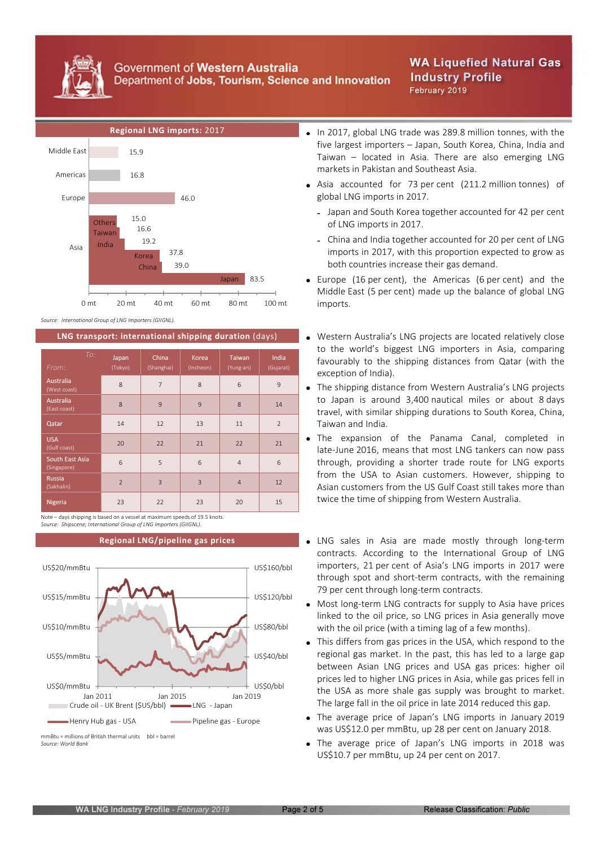

## Government of Western Australia Department of Jobs, Tourism, Science and Innovation

# **WA Liquefied Natural Gas Industry Profile** February 2019



Source: International Group of LNG Importers (GIIGNL).

| To:<br>From:                     | Japan<br>(Tokyo) | China<br>(Shanghai) | Korea<br>(Incheon) | <b>Taiwan</b><br>(Yung-an) | India<br>(Gujarat) |
|----------------------------------|------------------|---------------------|--------------------|----------------------------|--------------------|
| <b>Australia</b><br>(West coast) | 8                | $\overline{7}$      | 8                  | 6                          | 9                  |
| <b>Australia</b><br>(East coast) | 8                | 9                   | 9                  | 8                          | 14                 |
| Qatar                            | 14               | 12                  | 13                 | 11                         | $\overline{2}$     |
| <b>USA</b><br>(Gulf coast)       | 20               | 22                  | 21                 | 22                         | 21                 |
| South East Asia<br>(Singapore)   | 6                | 5                   | 6                  | $\overline{4}$             | 6                  |
| <b>Russia</b><br>(Sakhalin)      | $\overline{2}$   | $\overline{3}$      | $\overline{3}$     | $\overline{4}$             | 12                 |
| Nigeria                          | 23               | 22                  | 23                 | 20                         | 15                 |

Note – days shipping is based on a vessel at maximum speeds of 19.5 knots. Source: Shipscene; International Group of LNG Importers (GIIGNL).



Source: World Bank

- Regional LNG imports: 2017 **In 2017** In 2017, global LNG trade was 289.8 million tonnes, with the five largest importers – Japan, South Korea, China, India and Taiwan – located in Asia. There are also emerging LNG markets in Pakistan and Southeast Asia.
	- Asia accounted for 73 per cent (211.2 million tonnes) of global LNG imports in 2017.
		- Japan and South Korea together accounted for 42 per cent of LNG imports in 2017.
		- China and India together accounted for 20 per cent of LNG imports in 2017, with this proportion expected to grow as both countries increase their gas demand.
	- Europe (16 per cent), the Americas (6 per cent) and the Middle East (5 per cent) made up the balance of global LNG imports.
- LNG transport: international shipping duration (days) vestern Australia's LNG projects are located relatively close to the world's biggest LNG importers in Asia, comparing favourably to the shipping distances from Qatar (with the exception of India).
	- The shipping distance from Western Australia's LNG projects to Japan is around 3,400 nautical miles or about 8 days travel, with similar shipping durations to South Korea, China, Taiwan and India.
	- The expansion of the Panama Canal, completed in late-June 2016, means that most LNG tankers can now pass through, providing a shorter trade route for LNG exports from the USA to Asian customers. However, shipping to Asian customers from the US Gulf Coast still takes more than twice the time of shipping from Western Australia.
	- Regional LNG/pipeline gas prices **LNG** LNG sales in Asia are made mostly through long-term contracts. According to the International Group of LNG importers, 21 per cent of Asia's LNG imports in 2017 were through spot and short-term contracts, with the remaining 79 per cent through long-term contracts.
		- Most long-term LNG contracts for supply to Asia have prices linked to the oil price, so LNG prices in Asia generally move with the oil price (with a timing lag of a few months).
		- This differs from gas prices in the USA, which respond to the regional gas market. In the past, this has led to a large gap between Asian LNG prices and USA gas prices: higher oil prices led to higher LNG prices in Asia, while gas prices fell in the USA as more shale gas supply was brought to market. The large fall in the oil price in late 2014 reduced this gap.
		- The average price of Japan's LNG imports in January 2019 was US\$12.0 per mmBtu, up 28 per cent on January 2018.
		- The average price of Japan's LNG imports in 2018 was US\$10.7 per mmBtu, up 24 per cent on 2017.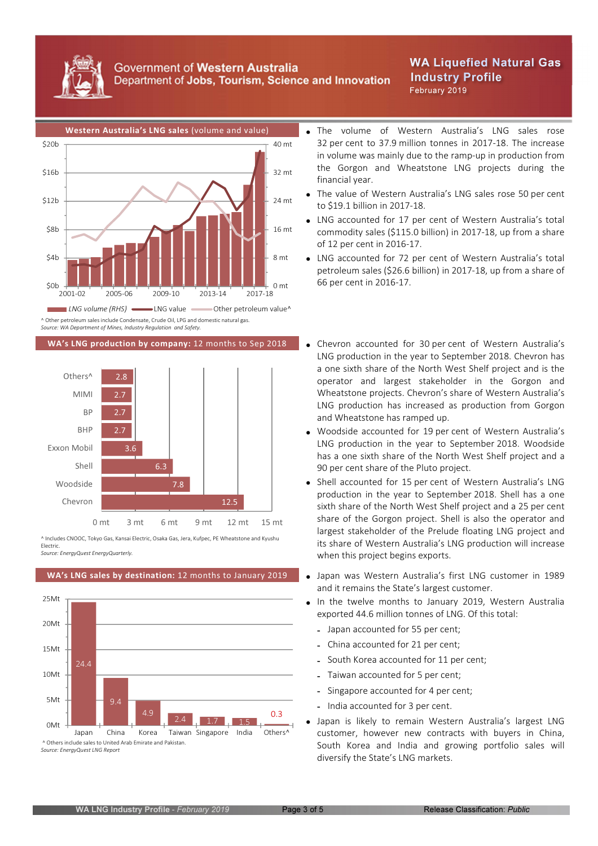

### Government of Western Australia Department of Jobs, Tourism, Science and Innovation

# **WA Liquefied Natural Gas Industry Profile** February 2019



Source: WA Department of Mines, Industry Regulation and Safety.



^ Includes CNOOC, Tokyo Gas, Kansai Electric, Osaka Gas, Jera, Kufpec, PE Wheatstone and Kyushu Electric.

Source: EnergyQuest EnergyQuarterly.



Source: EnergyQuest LNG Report

- 32 per cent to 37.9 million tonnes in 2017-18. The increase in volume was mainly due to the ramp-up in production from the Gorgon and Wheatstone LNG projects during the financial year.
- The value of Western Australia's LNG sales rose 50 per cent to \$19.1 billion in 2017-18.
- LNG accounted for 17 per cent of Western Australia's total commodity sales (\$115.0 billion) in 2017-18, up from a share of 12 per cent in 2016-17.
- LNG accounted for 72 per cent of Western Australia's total petroleum sales (\$26.6 billion) in 2017-18, up from a share of 66 per cent in 2016-17.
- WA's LNG production by company: 12 months to Sep 2018 . Chevron accounted for 30 per cent of Western Australia's LNG production in the year to September 2018. Chevron has a one sixth share of the North West Shelf project and is the operator and largest stakeholder in the Gorgon and Wheatstone projects. Chevron's share of Western Australia's LNG production has increased as production from Gorgon and Wheatstone has ramped up.
	- Woodside accounted for 19 per cent of Western Australia's LNG production in the year to September 2018. Woodside has a one sixth share of the North West Shelf project and a 90 per cent share of the Pluto project.
	- Shell accounted for 15 per cent of Western Australia's LNG production in the year to September 2018. Shell has a one sixth share of the North West Shelf project and a 25 per cent share of the Gorgon project. Shell is also the operator and largest stakeholder of the Prelude floating LNG project and its share of Western Australia's LNG production will increase when this project begins exports.
- WA's LNG sales by destination: 12 months to January 2019 . Japan was Western Australia's first LNG customer in 1989 and it remains the State's largest customer.
	- In the twelve months to January 2019, Western Australia exported 44.6 million tonnes of LNG. Of this total:
		- Japan accounted for 55 per cent;
		- China accounted for 21 per cent;
		- South Korea accounted for 11 per cent;
		- Taiwan accounted for 5 per cent;
		- Singapore accounted for 4 per cent;
		- India accounted for 3 per cent.
	- Japan is likely to remain Western Australia's largest LNG  $\bullet$ customer, however new contracts with buyers in China, South Korea and India and growing portfolio sales will diversify the State's LNG markets.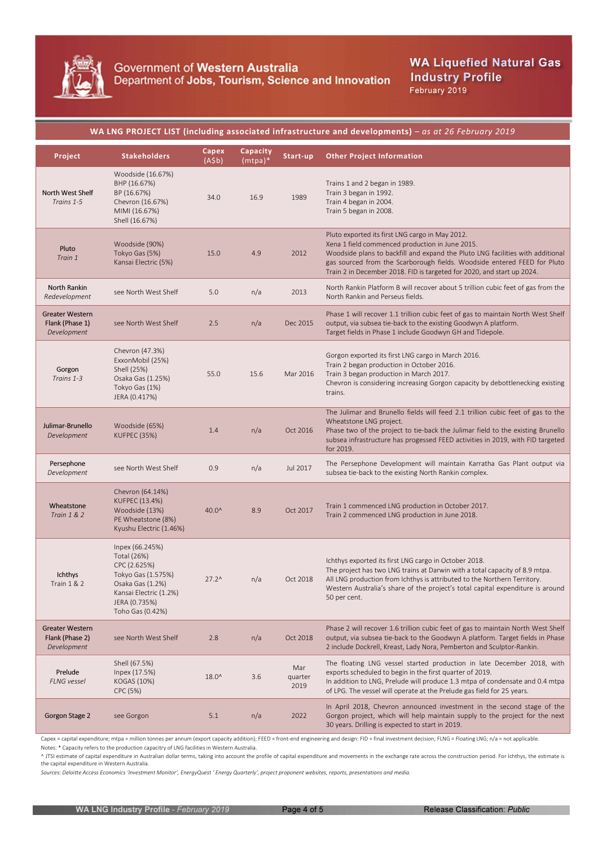

**WA Liquefied Natural Gas Industry Profile** February 2019

### WA LNG PROJECT LIST (including associated infrastructure and developments) – as at 26 February 2019

| Project                                                  | <b>Stakeholders</b>                                                                                                                                     | Capex<br>(A \$b) | Capacity<br>$(mtpa)*$ | Start-up               | <b>Other Project Information</b>                                                                                                                                                                                                                                                                                                           |
|----------------------------------------------------------|---------------------------------------------------------------------------------------------------------------------------------------------------------|------------------|-----------------------|------------------------|--------------------------------------------------------------------------------------------------------------------------------------------------------------------------------------------------------------------------------------------------------------------------------------------------------------------------------------------|
| North West Shelf<br>Trains 1-5                           | Woodside (16.67%)<br>BHP (16.67%)<br>BP (16.67%)<br>Chevron (16.67%)<br>MIMI (16.67%)<br>Shell (16.67%)                                                 | 34.0             | 16.9                  | 1989                   | Trains 1 and 2 began in 1989.<br>Train 3 began in 1992.<br>Train 4 began in 2004.<br>Train 5 began in 2008.                                                                                                                                                                                                                                |
| Pluto<br>Train 1                                         | Woodside (90%)<br>Tokyo Gas (5%)<br>Kansai Electric (5%)                                                                                                | 15.0             | 4.9                   | 2012                   | Pluto exported its first LNG cargo in May 2012.<br>Xena 1 field commenced production in June 2015.<br>Woodside plans to backfill and expand the Pluto LNG facilities with additional<br>gas sourced from the Scarborough fields. Woodside entered FEED for Pluto<br>Train 2 in December 2018. FID is targeted for 2020, and start up 2024. |
| North Rankin<br>Redevelopment                            | see North West Shelf                                                                                                                                    | 5.0              | n/a                   | 2013                   | North Rankin Platform B will recover about 5 trillion cubic feet of gas from the<br>North Rankin and Perseus fields.                                                                                                                                                                                                                       |
| <b>Greater Western</b><br>Flank (Phase 1)<br>Development | see North West Shelf                                                                                                                                    | 2.5              | n/a                   | Dec 2015               | Phase 1 will recover 1.1 trillion cubic feet of gas to maintain North West Shelf<br>output, via subsea tie-back to the existing Goodwyn A platform.<br>Target fields in Phase 1 include Goodwyn GH and Tidepole.                                                                                                                           |
| Gorgon<br>Trains 1-3                                     | Chevron (47.3%)<br>ExxonMobil (25%)<br>Shell (25%)<br>Osaka Gas (1.25%)<br>Tokyo Gas (1%)<br>JERA (0.417%)                                              | 55.0             | 15.6                  | Mar 2016               | Gorgon exported its first LNG cargo in March 2016.<br>Train 2 began production in October 2016.<br>Train 3 began production in March 2017.<br>Chevron is considering increasing Gorgon capacity by debottlenecking existing<br>trains.                                                                                                     |
| Julimar-Brunello<br>Development                          | Woodside (65%)<br><b>KUFPEC (35%)</b>                                                                                                                   | 1.4              | n/a                   | Oct 2016               | The Julimar and Brunello fields will feed 2.1 trillion cubic feet of gas to the<br>Wheatstone LNG project.<br>Phase two of the project to tie-back the Julimar field to the existing Brunello<br>subsea infrastructure has progessed FEED activities in 2019, with FID targeted<br>for 2019.                                               |
| Persephone<br>Development                                | see North West Shelf                                                                                                                                    | 0.9              | n/a                   | Jul 2017               | The Persephone Development will maintain Karratha Gas Plant output via<br>subsea tie-back to the existing North Rankin complex.                                                                                                                                                                                                            |
| Wheatstone<br><b>Train 1 &amp; 2</b>                     | Chevron (64.14%)<br>KUFPEC (13.4%)<br>Woodside (13%)<br>PE Wheatstone (8%)<br>Kyushu Electric (1.46%)                                                   | 40.0^            | 8.9                   | Oct 2017               | Train 1 commenced LNG production in October 2017.<br>Train 2 commenced LNG production in June 2018.                                                                                                                                                                                                                                        |
| Ichthys<br><b>Train 1 &amp; 2</b>                        | Inpex (66.245%)<br>Total (26%)<br>CPC (2.625%)<br>Tokyo Gas (1.575%)<br>Osaka Gas (1.2%)<br>Kansai Electric (1.2%)<br>JERA (0.735%)<br>Toho Gas (0.42%) | $27.2^$          | n/a                   | Oct 2018               | Ichthys exported its first LNG cargo in October 2018.<br>The project has two LNG trains at Darwin with a total capacity of 8.9 mtpa.<br>All LNG production from Ichthys is attributed to the Northern Territory.<br>Western Australia's share of the project's total capital expenditure is around<br>50 per cent.                         |
| <b>Greater Western</b><br>Flank (Phase 2)<br>Development | see North West Shelf                                                                                                                                    | 2.8              | n/a                   | Oct 2018               | Phase 2 will recover 1.6 trillion cubic feet of gas to maintain North West Shelf<br>output, via subsea tie-back to the Goodwyn A platform. Target fields in Phase<br>2 include Dockrell, Kreast, Lady Nora, Pemberton and Sculptor-Rankin.                                                                                                 |
| Prelude<br><b>FLNG</b> vessel                            | Shell (67.5%)<br>Inpex (17.5%)<br>KOGAS (10%)<br>CPC (5%)                                                                                               | $18.0^{\circ}$   | 3.6                   | Mar<br>quarter<br>2019 | The floating LNG vessel started production in late December 2018, with<br>exports scheduled to begin in the first quarter of 2019.<br>In addition to LNG, Prelude will produce 1.3 mtpa of condensate and 0.4 mtpa<br>of LPG. The vessel will operate at the Prelude gas field for 25 years.                                               |
| Gorgon Stage 2                                           | see Gorgon                                                                                                                                              | 5.1              | n/a                   | 2022                   | In April 2018, Chevron announced investment in the second stage of the<br>Gorgon project, which will help maintain supply to the project for the next<br>30 years. Drilling is expected to start in 2019.                                                                                                                                  |

Capex = capital expenditure; mtpa = million tonnes per annum (export capacity addition); FEED = front-end engineering and design: FID = final investment decision; FLNG = Floating LNG; n/a = not applicable. Notes: \* Capacity refers to the production capacitry of LNG facilities in Western Australia.

^ JTSI estimate of capital expenditure in Australian dollar terms, taking into account the profile of capital expenditure and movements in the exchange rate across the construction period. For Ichthys, the estimate is the capital expenditure in Western Australia.

Sources: Deloitte Access Economics 'Investment Monitor', EnergyQuest ' Energy Quarterly', project proponent websites, reports, presentations and media.